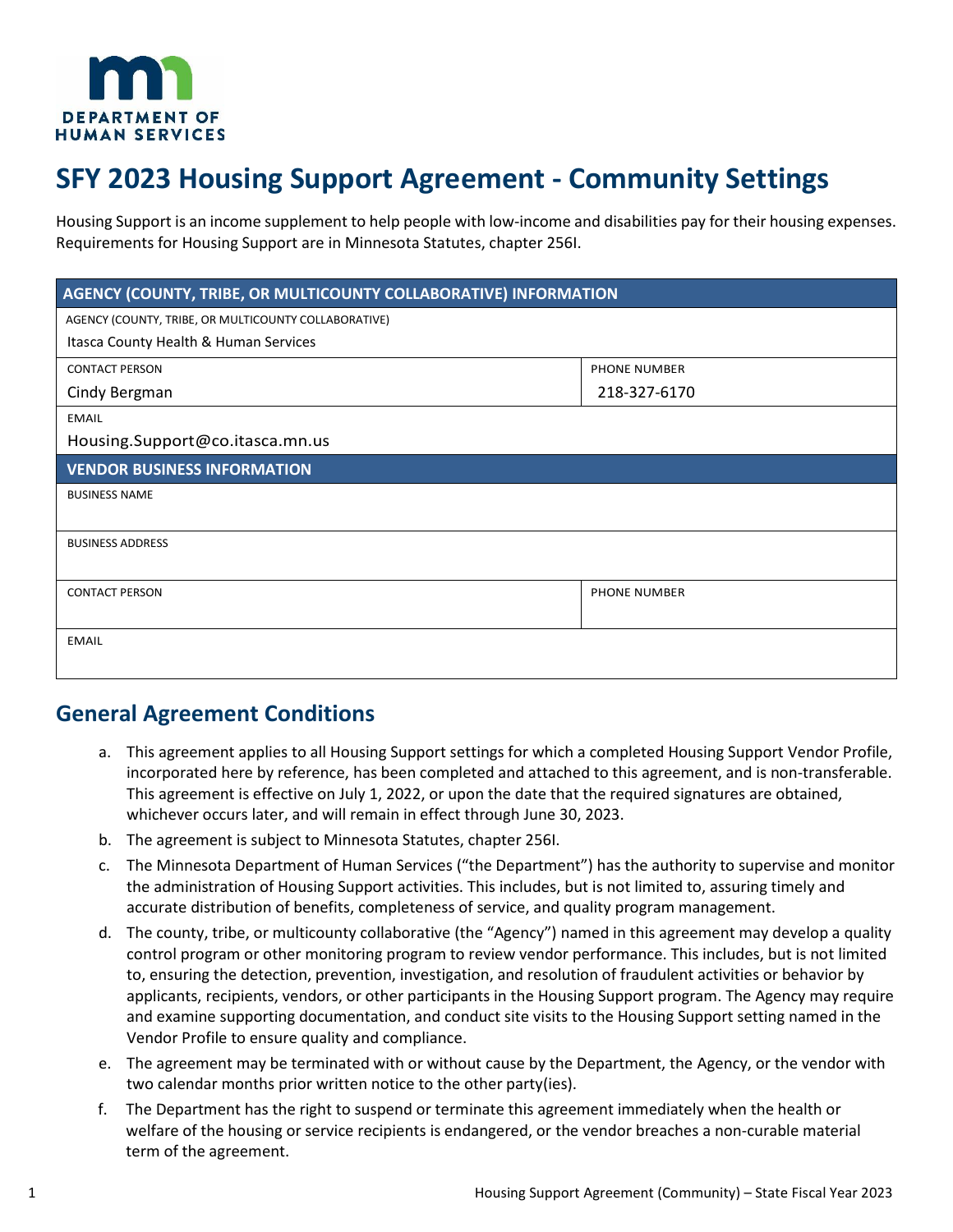

# **SFY 2023 Housing Support Agreement - Community Settings**

Housing Support is an income supplement to help people with low-income and disabilities pay for their housing expenses. Requirements for Housing Support are in Minnesota Statutes, chapter 256I.

| AGENCY (COUNTY, TRIBE, OR MULTICOUNTY COLLABORATIVE) INFORMATION |                     |  |
|------------------------------------------------------------------|---------------------|--|
| AGENCY (COUNTY, TRIBE, OR MULTICOUNTY COLLABORATIVE)             |                     |  |
| Itasca County Health & Human Services                            |                     |  |
| <b>CONTACT PERSON</b>                                            | <b>PHONE NUMBER</b> |  |
| Cindy Bergman                                                    | 218-327-6170        |  |
| <b>EMAIL</b>                                                     |                     |  |
| Housing.Support@co.itasca.mn.us                                  |                     |  |
| <b>VENDOR BUSINESS INFORMATION</b>                               |                     |  |
| <b>BUSINESS NAME</b>                                             |                     |  |
|                                                                  |                     |  |
| <b>BUSINESS ADDRESS</b>                                          |                     |  |
|                                                                  |                     |  |
| <b>CONTACT PERSON</b>                                            | PHONE NUMBER        |  |
|                                                                  |                     |  |
| <b>EMAIL</b>                                                     |                     |  |
|                                                                  |                     |  |

# **General Agreement Conditions**

- a. This agreement applies to all Housing Support settings for which a completed Housing Support Vendor Profile, incorporated here by reference, has been completed and attached to this agreement, and is non-transferable. This agreement is effective on July 1, 2022, or upon the date that the required signatures are obtained, whichever occurs later, and will remain in effect through June 30, 2023.
- b. The agreement is subject to Minnesota Statutes, chapter 256I.
- c. The Minnesota Department of Human Services ("the Department") has the authority to supervise and monitor the administration of Housing Support activities. This includes, but is not limited to, assuring timely and accurate distribution of benefits, completeness of service, and quality program management.
- d. The county, tribe, or multicounty collaborative (the "Agency") named in this agreement may develop a quality control program or other monitoring program to review vendor performance. This includes, but is not limited to, ensuring the detection, prevention, investigation, and resolution of fraudulent activities or behavior by applicants, recipients, vendors, or other participants in the Housing Support program. The Agency may require and examine supporting documentation, and conduct site visits to the Housing Support setting named in the Vendor Profile to ensure quality and compliance.
- e. The agreement may be terminated with or without cause by the Department, the Agency, or the vendor with two calendar months prior written notice to the other party(ies).
- f. The Department has the right to suspend or terminate this agreement immediately when the health or welfare of the housing or service recipients is endangered, or the vendor breaches a non-curable material term of the agreement.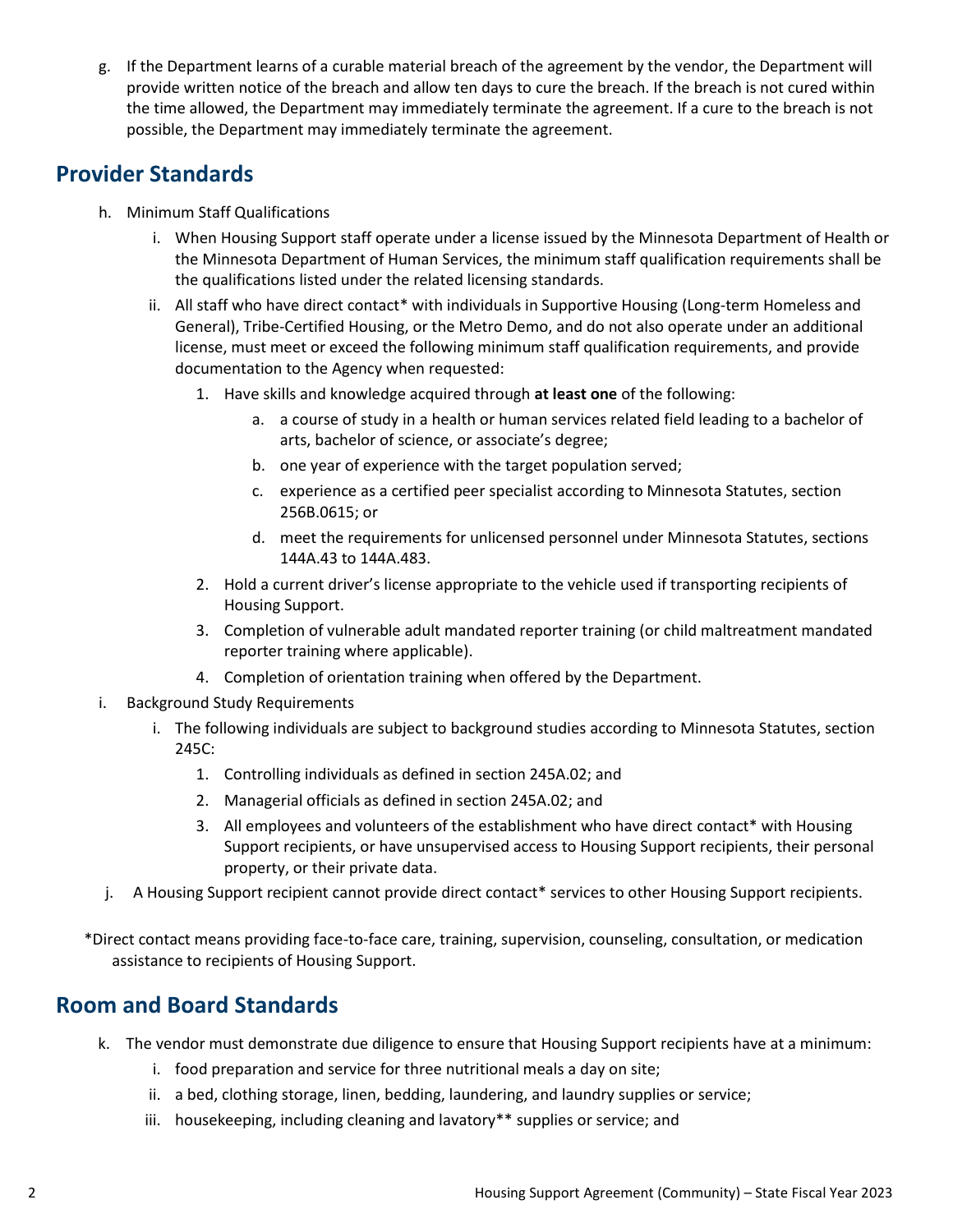g. If the Department learns of a curable material breach of the agreement by the vendor, the Department will provide written notice of the breach and allow ten days to cure the breach. If the breach is not cured within the time allowed, the Department may immediately terminate the agreement. If a cure to the breach is not possible, the Department may immediately terminate the agreement.

# **Provider Standards**

- h. Minimum Staff Qualifications
	- i. When Housing Support staff operate under a license issued by the Minnesota Department of Health or the Minnesota Department of Human Services, the minimum staff qualification requirements shall be the qualifications listed under the related licensing standards.
	- ii. All staff who have direct contact\* with individuals in Supportive Housing (Long-term Homeless and General), Tribe-Certified Housing, or the Metro Demo, and do not also operate under an additional license, must meet or exceed the following minimum staff qualification requirements, and provide documentation to the Agency when requested:
		- 1. Have skills and knowledge acquired through **at least one** of the following:
			- a. a course of study in a health or human services related field leading to a bachelor of arts, bachelor of science, or associate's degree;
			- b. one year of experience with the target population served;
			- c. experience as a certified peer specialist according to Minnesota Statutes, section 256B.0615; or
			- d. meet the requirements for unlicensed personnel under Minnesota Statutes, sections 144A.43 to 144A.483.
		- 2. Hold a current driver's license appropriate to the vehicle used if transporting recipients of Housing Support.
		- 3. Completion of vulnerable adult mandated reporter training (or child maltreatment mandated reporter training where applicable).
		- 4. Completion of orientation training when offered by the Department.
- i. Background Study Requirements
	- i. The following individuals are subject to background studies according to Minnesota Statutes, section 245C:
		- 1. Controlling individuals as defined in section [245A.02;](https://www.revisor.mn.gov/statutes/?id=245A.02) and
		- 2. Managerial officials as defined in section [245A.02;](https://www.revisor.mn.gov/statutes/?id=245A.02) and
		- 3. All employees and volunteers of the establishment who have direct contact\* with Housing Support recipients, or have unsupervised access to Housing Support recipients, their personal property, or their private data.
- j. A Housing Support recipient cannot provide direct contact\* services to other Housing Support recipients.

\*Direct contact means providing face-to-face care, training, supervision, counseling, consultation, or medication assistance to recipients of Housing Support.

#### **Room and Board Standards**

- k. The vendor must demonstrate due diligence to ensure that Housing Support recipients have at a minimum:
	- i. food preparation and service for three nutritional meals a day on site;
	- ii. a bed, clothing storage, linen, bedding, laundering, and laundry supplies or service;
	- iii. housekeeping, including cleaning and lavatory\*\* supplies or service; and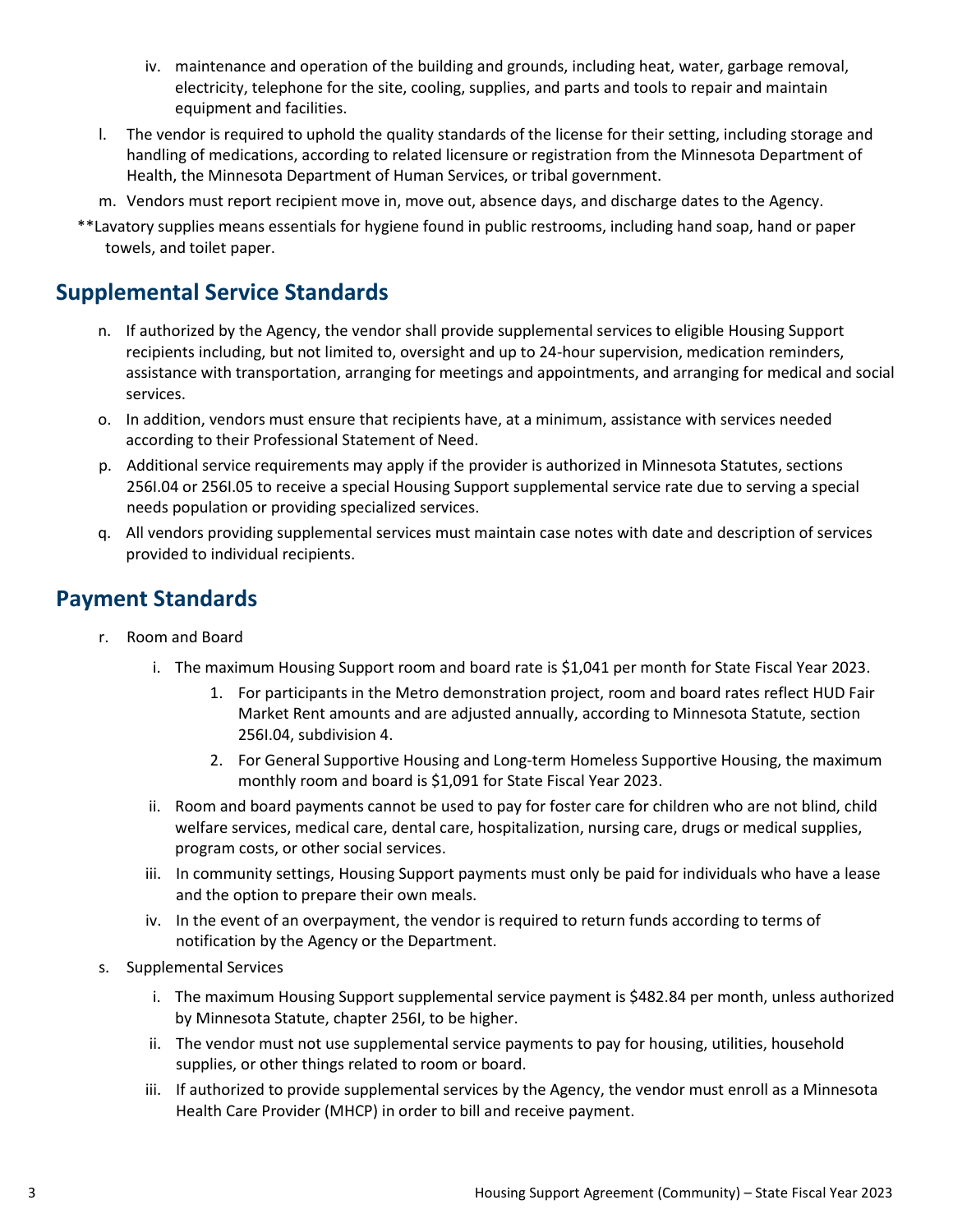- iv. maintenance and operation of the building and grounds, including heat, water, garbage removal, electricity, telephone for the site, cooling, supplies, and parts and tools to repair and maintain equipment and facilities.
- l. The vendor is required to uphold the quality standards of the license for their setting, including storage and handling of medications, according to related licensure or registration from the Minnesota Department of Health, the Minnesota Department of Human Services, or tribal government.
- m. Vendors must report recipient move in, move out, absence days, and discharge dates to the Agency.
- \*\*Lavatory supplies means essentials for hygiene found in public restrooms, including hand soap, hand or paper towels, and toilet paper.

### **Supplemental Service Standards**

- n. If authorized by the Agency, the vendor shall provide supplemental services to eligible Housing Support recipients including, but not limited to, oversight and up to 24-hour supervision, medication reminders, assistance with transportation, arranging for meetings and appointments, and arranging for medical and social services.
- o. In addition, vendors must ensure that recipients have, at a minimum, assistance with services needed according to their Professional Statement of Need.
- p. Additional service requirements may apply if the provider is authorized in Minnesota Statutes, sections 256I.04 or 256I.05 to receive a special Housing Support supplemental service rate due to serving a special needs population or providing specialized services.
- q. All vendors providing supplemental services must maintain case notes with date and description of services provided to individual recipients.

#### **Payment Standards**

- r. Room and Board
	- i. The maximum Housing Support room and board rate is \$1,041 per month for State Fiscal Year 2023.
		- 1. For participants in the Metro demonstration project, room and board rates reflect HUD Fair Market Rent amounts and are adjusted annually, according to Minnesota Statute, section 256I.04, subdivision 4.
		- 2. For General Supportive Housing and Long-term Homeless Supportive Housing, the maximum monthly room and board is \$1,091 for State Fiscal Year 2023.
	- ii. Room and board payments cannot be used to pay for foster care for children who are not blind, child welfare services, medical care, dental care, hospitalization, nursing care, drugs or medical supplies, program costs, or other social services.
	- iii. In community settings, Housing Support payments must only be paid for individuals who have a lease and the option to prepare their own meals.
	- iv. In the event of an overpayment, the vendor is required to return funds according to terms of notification by the Agency or the Department.
- s. Supplemental Services
	- i. The maximum Housing Support supplemental service payment is \$482.84 per month, unless authorized by Minnesota Statute, chapter 256I, to be higher.
	- ii. The vendor must not use supplemental service payments to pay for housing, utilities, household supplies, or other things related to room or board.
	- iii. If authorized to provide supplemental services by the Agency, the vendor must enroll as a Minnesota Health Care Provider (MHCP) in order to bill and receive payment.